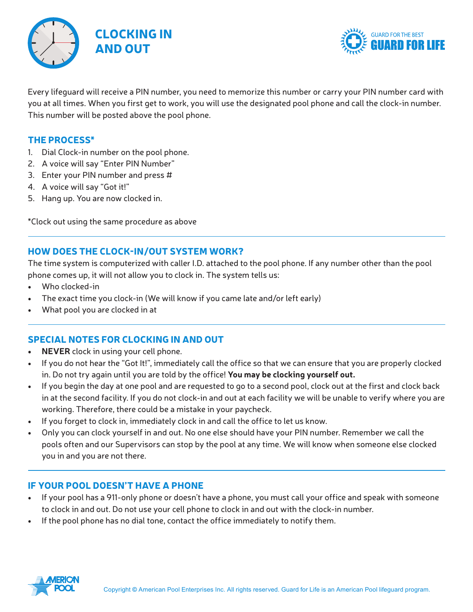



Every lifeguard will receive a PIN number, you need to memorize this number or carry your PIN number card with you at all times. When you first get to work, you will use the designated pool phone and call the clock-in number. This number will be posted above the pool phone.

#### The Process\*

- 1. Dial Clock-in number on the pool phone.
- 2. A voice will say "Enter PIN Number"
- 3. Enter your PIN number and press #
- 4. A voice will say "Got it!"
- 5. Hang up. You are now clocked in.

\*Clock out using the same procedure as above

## How DOES THE CLOCK-IN/out system work?

The time system is computerized with caller I.D. attached to the pool phone. If any number other than the pool phone comes up, it will not allow you to clock in. The system tells us:

- Who clocked-in
- The exact time you clock-in (We will know if you came late and/or left early)
- What pool you are clocked in at

## Special Notes for clocking in and out

- **• NEVER** clock in using your cell phone.
- If you do not hear the "Got It!", immediately call the office so that we can ensure that you are properly clocked in. Do not try again until you are told by the office! **You may be clocking yourself out.**
- If you begin the day at one pool and are requested to go to a second pool, clock out at the first and clock back in at the second facility. If you do not clock-in and out at each facility we will be unable to verify where you are working. Therefore, there could be a mistake in your paycheck.
- If you forget to clock in, immediately clock in and call the office to let us know.
- Only you can clock yourself in and out. No one else should have your PIN number. Remember we call the pools often and our Supervisors can stop by the pool at any time. We will know when someone else clocked you in and you are not there.

## If your pool doesn't have a phone

- If your pool has a 911-only phone or doesn't have a phone, you must call your office and speak with someone to clock in and out. Do not use your cell phone to clock in and out with the clock-in number.
- If the pool phone has no dial tone, contact the office immediately to notify them.

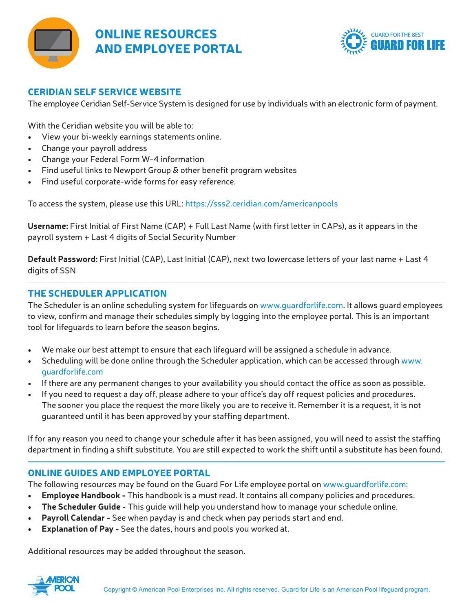



#### Ceridian self service website

The employee Ceridian Self-Service System is designed for use by individuals with an electronic form of payment.

With the Ceridian website you will be able to:

- View your bi-weekly earnings statements online.
- Change your payroll address
- Change your Federal Form W-4 information
- Find useful links to Newport Group & other benefit program websites
- Find useful corporate-wide forms for easy reference.

To access the system, please use this URL: https://sss2.ceridian.com/americanpools

**Username:** First Initial of First Name (CAP) + Full Last Name (with first letter in CAPs), as it appears in the payroll system + Last 4 digits of Social Security Number

**Default Password:** First Initial (CAP), Last Initial (CAP), next two lowercase letters of your last name + Last 4 digits of SSN

## The Scheduler Application

The Scheduler is an online scheduling system for lifeguards on www.guardforlife.com. It allows guard employees to view, confirm and manage their schedules simply by logging into the employee portal. This is an important tool for lifeguards to learn before the season begins.

- We make our best attempt to ensure that each lifeguard will be assigned a schedule in advance.
- Scheduling will be done online through the Scheduler application, which can be accessed through www. guardforlife.com
- If there are any permanent changes to your availability you should contact the office as soon as possible.
- If you need to request a day off, please adhere to your office's day off request policies and procedures. The sooner you place the request the more likely you are to receive it. Remember it is a request, it is not guaranteed until it has been approved by your staffing department.

If for any reason you need to change your schedule after it has been assigned, you will need to assist the staffing department in finding a shift substitute. You are still expected to work the shift until a substitute has been found.

## Online Guides and Employee Portal

The following resources may be found on the Guard For Life employee portal on www.guardforlife.com:

- **• Employee Handbook** This handbook is a must read. It contains all company policies and procedures.
- **• The Scheduler Guide** This guide will help you understand how to manage your schedule online.
- **• Payroll Calendar** See when payday is and check when pay periods start and end.
- **• Explanation of Pay** See the dates, hours and pools you worked at.

Additional resources may be added throughout the season.

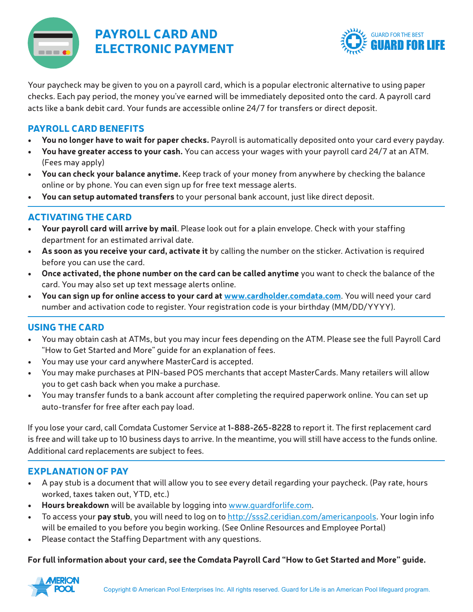

# Payroll card AND ELECTRONIC PAYMENT



Your paycheck may be given to you on a payroll card, which is a popular electronic alternative to using paper checks. Each pay period, the money you've earned will be immediately deposited onto the card. A payroll card acts like a bank debit card. Your funds are accessible online 24/7 for transfers or direct deposit.

# Payroll card benefits

- **• You no longer have to wait for paper checks.** Payroll is automatically deposited onto your card every payday.
- **• You have greater access to your cash.** You can access your wages with your payroll card 24/7 at an ATM. (Fees may apply)
- **• You can check your balance anytime.** Keep track of your money from anywhere by checking the balance online or by phone. You can even sign up for free text message alerts.
- **• You can setup automated transfers** to your personal bank account, just like direct deposit.

## ACTIVATING THE CARD

- **• Your payroll card will arrive by mail**. Please look out for a plain envelope. Check with your staffing department for an estimated arrival date.
- **• As soon as you receive your card, activate it** by calling the number on the sticker. Activation is required before you can use the card.
- **• Once activated, the phone number on the card can be called anytime** you want to check the balance of the card. You may also set up text message alerts online.
- **• You can sign up for online access to your card at www.cardholder.comdata.com**. You will need your card number and activation code to register. Your registration code is your birthday (MM/DD/YYYY).

# USING THE CARD

- You may obtain cash at ATMs, but you may incur fees depending on the ATM. Please see the full Payroll Card "How to Get Started and More" guide for an explanation of fees.
- You may use your card anywhere MasterCard is accepted.
- You may make purchases at PIN-based POS merchants that accept MasterCards. Many retailers will allow you to get cash back when you make a purchase.
- You may transfer funds to a bank account after completing the required paperwork online. You can set up auto-transfer for free after each pay load.

If you lose your card, call Comdata Customer Service at **1-888-265-8228** to report it. The first replacement card is free and will take up to 10 business days to arrive. In the meantime, you will still have access to the funds online. Additional card replacements are subject to fees.

# EXPLANATION OF PAY

- A pay stub is a document that will allow you to see every detail regarding your paycheck. (Pay rate, hours worked, taxes taken out, YTD, etc.)
- **• Hours breakdown** will be available by logging into www.guardforlife.com.
- To access your **pay stub**, you will need to log on to http://sss2.ceridian.com/americanpools. Your login info will be emailed to you before you begin working. (See Online Resources and Employee Portal)
- Please contact the Staffing Department with any questions.

## **For full information about your card, see the Comdata Payroll Card "How to Get Started and More" guide.**